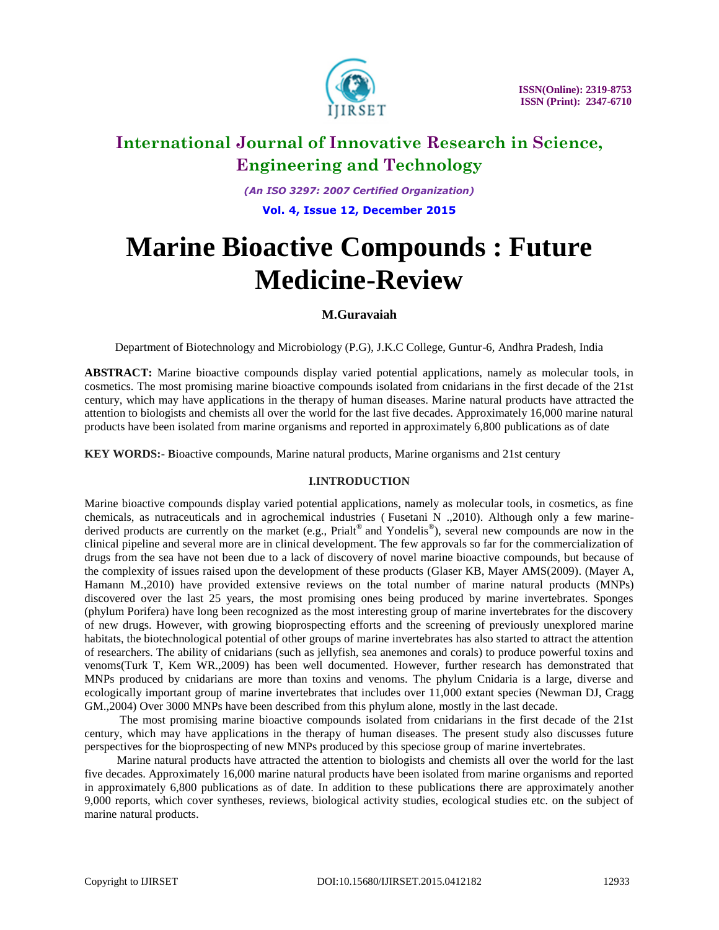

*(An ISO 3297: 2007 Certified Organization)* **Vol. 4, Issue 12, December 2015**

# **Marine Bioactive Compounds : Future Medicine-Review**

### **M.Guravaiah**

Department of Biotechnology and Microbiology (P.G), J.K.C College, Guntur-6, Andhra Pradesh, India

**ABSTRACT:** Marine bioactive compounds display varied potential applications, namely as molecular tools, in cosmetics. The most promising marine bioactive compounds isolated from cnidarians in the first decade of the 21st century, which may have applications in the therapy of human diseases. Marine natural products have attracted the attention to biologists and chemists all over the world for the last five decades. Approximately 16,000 marine natural products have been isolated from marine organisms and reported in approximately 6,800 publications as of date

**KEY WORDS:- B**ioactive compounds, Marine natural products, Marine organisms and 21st century

### **I.INTRODUCTION**

Marine bioactive compounds display varied potential applications, namely as molecular tools, in cosmetics, as fine chemicals, as nutraceuticals and in agrochemical industries ( Fusetani N .,2010). Although only a few marinederived products are currently on the market (e.g., Prialt® and Yondelis®), several new compounds are now in the clinical pipeline and several more are in clinical development. The few approvals so far for the commercialization of drugs from the sea have not been due to a lack of discovery of novel marine bioactive compounds, but because of the complexity of issues raised upon the development of these products (Glaser KB, Mayer AMS(2009). (Mayer A, Hamann M.,2010) have provided extensive reviews on the total number of marine natural products (MNPs) discovered over the last 25 years, the most promising ones being produced by marine invertebrates. Sponges (phylum Porifera) have long been recognized as the most interesting group of marine invertebrates for the discovery of new drugs. However, with growing bioprospecting efforts and the screening of previously unexplored marine habitats, the biotechnological potential of other groups of marine invertebrates has also started to attract the attention of researchers. The ability of cnidarians (such as jellyfish, sea anemones and corals) to produce powerful toxins and venoms(Turk T, Kem WR.,2009) has been well documented. However, further research has demonstrated that MNPs produced by cnidarians are more than toxins and venoms. The phylum Cnidaria is a large, diverse and ecologically important group of marine invertebrates that includes over 11,000 extant species (Newman DJ, Cragg GM.,2004) Over 3000 MNPs have been described from this phylum alone, mostly in the last decade.

 The most promising marine bioactive compounds isolated from cnidarians in the first decade of the 21st century, which may have applications in the therapy of human diseases. The present study also discusses future perspectives for the bioprospecting of new MNPs produced by this speciose group of marine invertebrates.

 Marine natural products have attracted the attention to biologists and chemists all over the world for the last five decades. Approximately 16,000 marine natural products have been isolated from marine organisms and reported in approximately 6,800 publications as of date. In addition to these publications there are approximately another 9,000 reports, which cover syntheses, reviews, biological activity studies, ecological studies etc. on the subject of marine natural products.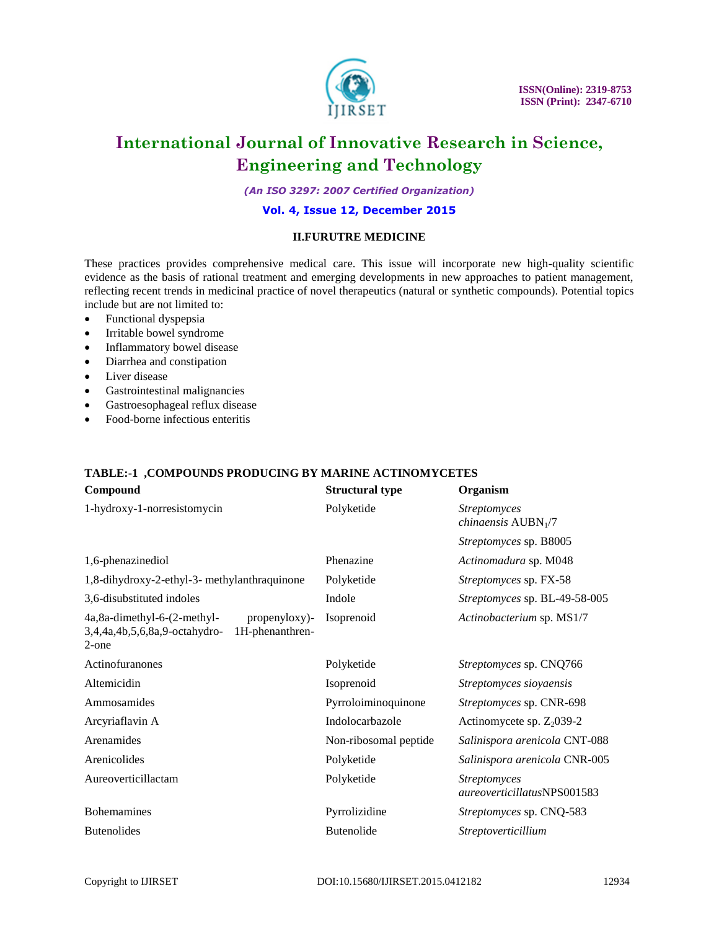

*(An ISO 3297: 2007 Certified Organization)*

### **Vol. 4, Issue 12, December 2015**

#### **II.FURUTRE MEDICINE**

These practices provides comprehensive medical care. This issue will incorporate new high-quality scientific evidence as the basis of rational treatment and emerging developments in new approaches to patient management, reflecting recent trends in medicinal practice of novel therapeutics (natural or synthetic compounds). Potential topics include but are not limited to:

- Functional dyspepsia
- Irritable bowel syndrome
- Inflammatory bowel disease
- Diarrhea and constipation
- Liver disease
- Gastrointestinal malignancies
- Gastroesophageal reflux disease
- Food-borne infectious enteritis

### **TABLE:-1 ,COMPOUNDS PRODUCING BY MARINE ACTINOMYCETES**

| Compound                                                                                                  | <b>Structural type</b> | Organism                                           |
|-----------------------------------------------------------------------------------------------------------|------------------------|----------------------------------------------------|
| 1-hydroxy-1-norresistomycin                                                                               | Polyketide             | <b>Streptomyces</b><br><i>chinaensis</i> $AUBN1/7$ |
|                                                                                                           |                        | Streptomyces sp. B8005                             |
| 1,6-phenazinediol                                                                                         | Phenazine              | Actinomadura sp. M048                              |
| 1,8-dihydroxy-2-ethyl-3- methylanthraquinone                                                              | Polyketide             | Streptomyces sp. FX-58                             |
| 3,6-disubstituted indoles                                                                                 | Indole                 | Streptomyces sp. BL-49-58-005                      |
| 4a,8a-dimethyl-6-(2-methyl-<br>propenyloxy)-<br>3,4,4a,4b,5,6,8a,9-octahydro-<br>1H-phenanthren-<br>2-one | Isoprenoid             | Actinobacterium sp. MS1/7                          |
| Actinofuranones                                                                                           | Polyketide             | Streptomyces sp. CNQ766                            |
| Altemicidin                                                                                               | Isoprenoid             | Streptomyces sioyaensis                            |
| Ammosamides                                                                                               | Pyrroloiminoquinone    | Streptomyces sp. CNR-698                           |
| Arcyriaflavin A                                                                                           | Indolocarbazole        | Actinomycete sp. $Z_2$ 039-2                       |
| Arenamides                                                                                                | Non-ribosomal peptide  | Salinispora arenicola CNT-088                      |
| Arenicolides                                                                                              | Polyketide             | Salinispora arenicola CNR-005                      |
| Aureoverticillactam                                                                                       | Polyketide             | <b>Streptomyces</b><br>aureoverticillatusNPS001583 |
| <b>Bohemamines</b>                                                                                        | Pyrrolizidine          | Streptomyces sp. CNQ-583                           |
| <b>Butenolides</b>                                                                                        | <b>Butenolide</b>      | Streptoverticillium                                |
|                                                                                                           |                        |                                                    |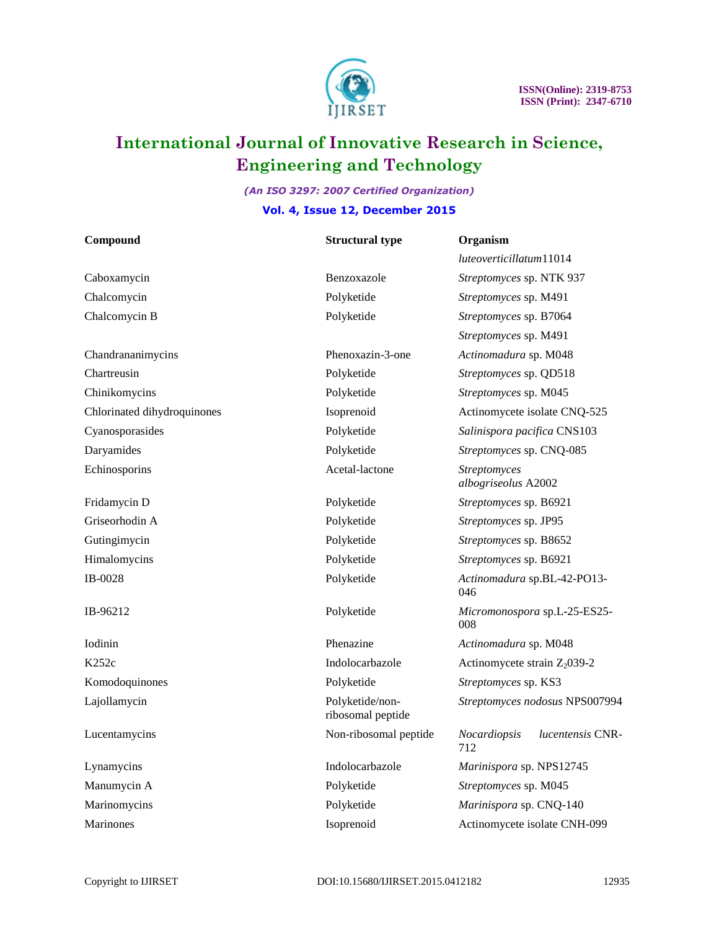

### *(An ISO 3297: 2007 Certified Organization)* **Vol. 4, Issue 12, December 2015**

| Compound                    | <b>Structural type</b>               | Organism                                       |
|-----------------------------|--------------------------------------|------------------------------------------------|
|                             |                                      | luteoverticillatum11014                        |
| Caboxamycin                 | Benzoxazole                          | Streptomyces sp. NTK 937                       |
| Chalcomycin                 | Polyketide                           | Streptomyces sp. M491                          |
| Chalcomycin B               | Polyketide                           | Streptomyces sp. B7064                         |
|                             |                                      | Streptomyces sp. M491                          |
| Chandrananimycins           | Phenoxazin-3-one                     | Actinomadura sp. M048                          |
| Chartreusin                 | Polyketide                           | Streptomyces sp. QD518                         |
| Chinikomycins               | Polyketide                           | Streptomyces sp. M045                          |
| Chlorinated dihydroquinones | Isoprenoid                           | Actinomycete isolate CNQ-525                   |
| Cyanosporasides             | Polyketide                           | Salinispora pacifica CNS103                    |
| Daryamides                  | Polyketide                           | Streptomyces sp. CNQ-085                       |
| Echinosporins               | Acetal-lactone                       | Streptomyces<br>albogriseolus A2002            |
| Fridamycin D                | Polyketide                           | Streptomyces sp. B6921                         |
| Griseorhodin A              | Polyketide                           | Streptomyces sp. JP95                          |
| Gutingimycin                | Polyketide                           | Streptomyces sp. B8652                         |
| Himalomycins                | Polyketide                           | Streptomyces sp. B6921                         |
| IB-0028                     | Polyketide                           | Actinomadura sp.BL-42-PO13-<br>046             |
| IB-96212                    | Polyketide                           | Micromonospora sp.L-25-ES25-<br>008            |
| Iodinin                     | Phenazine                            | Actinomadura sp. M048                          |
| K252c                       | Indolocarbazole                      | Actinomycete strain $Z_2$ 039-2                |
| Komodoquinones              | Polyketide                           | Streptomyces sp. KS3                           |
| Lajollamycin                | Polyketide/non-<br>ribosomal peptide | Streptomyces nodosus NPS007994                 |
| Lucentamycins               | Non-ribosomal peptide                | Nocardiopsis<br><i>lucentensis</i> CNR-<br>712 |
| Lynamycins                  | Indolocarbazole                      | Marinispora sp. NPS12745                       |
| Manumycin A                 | Polyketide                           | Streptomyces sp. M045                          |
| Marinomycins                | Polyketide                           | Marinispora sp. CNQ-140                        |
| Marinones                   | Isoprenoid                           | Actinomycete isolate CNH-099                   |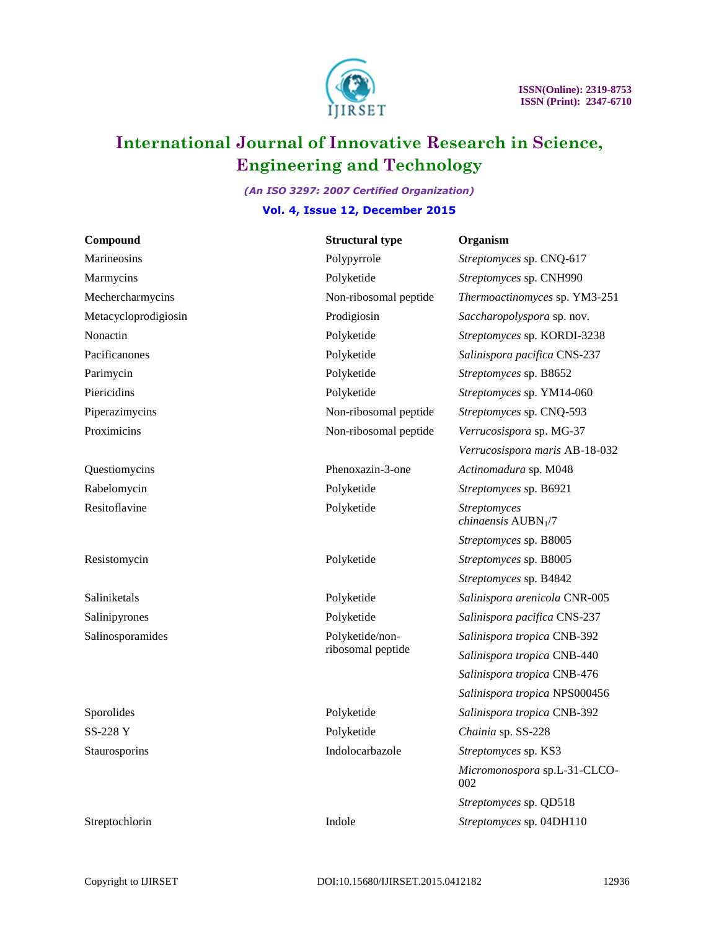

### *(An ISO 3297: 2007 Certified Organization)* **Vol. 4, Issue 12, December 2015**

| Compound             | <b>Structural type</b>               | Organism                                    |
|----------------------|--------------------------------------|---------------------------------------------|
| Marineosins          | Polypyrrole                          | Streptomyces sp. CNQ-617                    |
| Marmycins            | Polyketide                           | Streptomyces sp. CNH990                     |
| Mechercharmycins     | Non-ribosomal peptide                | Thermoactinomyces sp. YM3-251               |
| Metacycloprodigiosin | Prodigiosin                          | Saccharopolyspora sp. nov.                  |
| Nonactin             | Polyketide                           | Streptomyces sp. KORDI-3238                 |
| Pacificanones        | Polyketide                           | Salinispora pacifica CNS-237                |
| Parimycin            | Polyketide                           | Streptomyces sp. B8652                      |
| Piericidins          | Polyketide                           | Streptomyces sp. YM14-060                   |
| Piperazimycins       | Non-ribosomal peptide                | Streptomyces sp. CNQ-593                    |
| Proximicins          | Non-ribosomal peptide                | Verrucosispora sp. MG-37                    |
|                      |                                      | Verrucosispora maris AB-18-032              |
| Questiomycins        | Phenoxazin-3-one                     | Actinomadura sp. M048                       |
| Rabelomycin          | Polyketide                           | Streptomyces sp. B6921                      |
| Resitoflavine        | Polyketide                           | Streptomyces<br><i>chinaensis</i> $AUBN1/7$ |
|                      |                                      | Streptomyces sp. B8005                      |
| Resistomycin         | Polyketide                           | Streptomyces sp. B8005                      |
|                      |                                      | Streptomyces sp. B4842                      |
| Saliniketals         | Polyketide                           | Salinispora arenicola CNR-005               |
| Salinipyrones        | Polyketide                           | Salinispora pacifica CNS-237                |
| Salinosporamides     | Polyketide/non-<br>ribosomal peptide | Salinispora tropica CNB-392                 |
|                      |                                      | Salinispora tropica CNB-440                 |
|                      |                                      | Salinispora tropica CNB-476                 |
|                      |                                      | Salinispora tropica NPS000456               |
| Sporolides           | Polyketide                           | Salinispora tropica CNB-392                 |
| SS-228 Y             | Polyketide                           | Chainia sp. SS-228                          |
| Staurosporins        | Indolocarbazole                      | Streptomyces sp. KS3                        |
|                      |                                      | Micromonospora sp.L-31-CLCO-<br>002         |
|                      |                                      | Streptomyces sp. QD518                      |
| Streptochlorin       | Indole                               | Streptomyces sp. 04DH110                    |